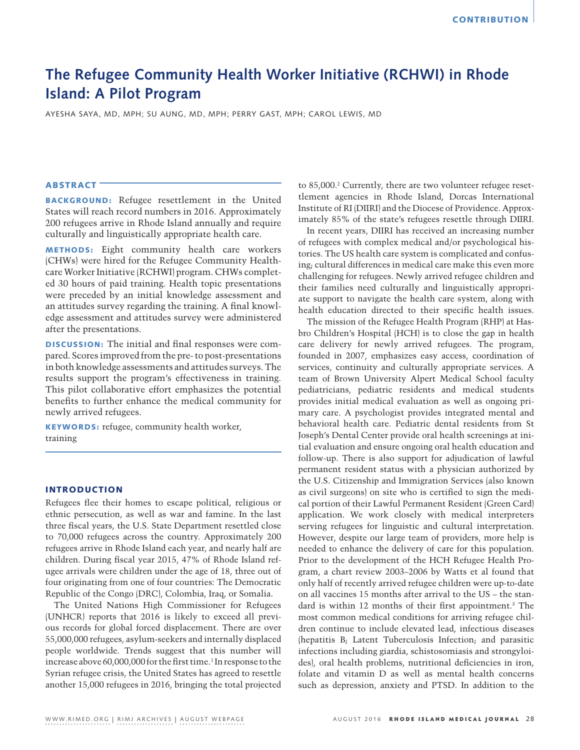# **The Refugee Community Health Worker Initiative (RCHWI) in Rhode Island: A Pilot Program**

AYESHA SAYA, MD, MPH; SU AUNG, MD, MPH; PERRY GAST, MPH; CAROL LEWIS, MD

## ABSTRACT

BACKGROUND: Refugee resettlement in the United States will reach record numbers in 2016. Approximately 200 refugees arrive in Rhode Island annually and require culturally and linguistically appropriate health care.

METHODS: Eight community health care workers (CHWs) were hired for the Refugee Community Healthcare Worker Initiative (RCHWI) program. CHWs completed 30 hours of paid training. Health topic presentations were preceded by an initial knowledge assessment and an attitudes survey regarding the training. A final knowledge assessment and attitudes survey were administered after the presentations.

DISCUSSION: The initial and final responses were compared. Scores improved from the pre- to post-presentations in both knowledge assessments and attitudes surveys. The results support the program's effectiveness in training. This pilot collaborative effort emphasizes the potential benefits to further enhance the medical community for newly arrived refugees.

KEYWORDS: refugee, community health worker, training

## INTRODUCTION

Refugees flee their homes to escape political, religious or ethnic persecution, as well as war and famine. In the last three fiscal years, the U.S. State Department resettled close to 70,000 refugees across the country. Approximately 200 refugees arrive in Rhode Island each year, and nearly half are children. During fiscal year 2015, 47% of Rhode Island refugee arrivals were children under the age of 18, three out of four originating from one of four countries: The Democratic Republic of the Congo (DRC), Colombia, Iraq, or Somalia.

The United Nations High Commissioner for Refugees (UNHCR) reports that 2016 is likely to exceed all previous records for global forced displacement. There are over 55,000,000 refugees, asylum-seekers and internally displaced people worldwide. Trends suggest that this number will increase above 60,000,000 for the first time.<sup>1</sup> In response to the Syrian refugee crisis, the United States has agreed to resettle another 15,000 refugees in 2016, bringing the total projected

to 85,000.<sup>2</sup> Currently, there are two volunteer refugee resettlement agencies in Rhode Island, Dorcas International Institute of RI (DIIRI) and the Diocese of Providence. Approximately 85% of the state's refugees resettle through DIIRI.

In recent years, DIIRI has received an increasing number of refugees with complex medical and/or psychological histories. The US health care system is complicated and confusing; cultural differences in medical care make this even more challenging for refugees. Newly arrived refugee children and their families need culturally and linguistically appropriate support to navigate the health care system, along with health education directed to their specific health issues.

The mission of the Refugee Health Program (RHP) at Hasbro Children's Hospital (HCH) is to close the gap in health care delivery for newly arrived refugees. The program, founded in 2007, emphasizes easy access, coordination of services, continuity and culturally appropriate services. A team of Brown University Alpert Medical School faculty pediatricians, pediatric residents and medical students provides initial medical evaluation as well as ongoing primary care. A psychologist provides integrated mental and behavioral health care. Pediatric dental residents from St Joseph's Dental Center provide oral health screenings at initial evaluation and ensure ongoing oral health education and follow-up. There is also support for adjudication of lawful permanent resident status with a physician authorized by the U.S. Citizenship and Immigration Services (also known as civil surgeons) on site who is certified to sign the medical portion of their Lawful Permanent Resident (Green Card) application. We work closely with medical interpreters serving refugees for linguistic and cultural interpretation. However, despite our large team of providers, more help is needed to enhance the delivery of care for this population. Prior to the development of the HCH Refugee Health Program, a chart review 2003–2006 by Watts et al found that only half of recently arrived refugee children were up-to-date on all vaccines 15 months after arrival to the US – the standard is within 12 months of their first appointment.3 The most common medical conditions for arriving refugee children continue to include elevated lead, infectious diseases (hepatitis B; Latent Tuberculosis Infection; and parasitic infections including giardia, schistosomiasis and strongyloides), oral health problems, nutritional deficiencies in iron, folate and vitamin D as well as mental health concerns such as depression, anxiety and PTSD. In addition to the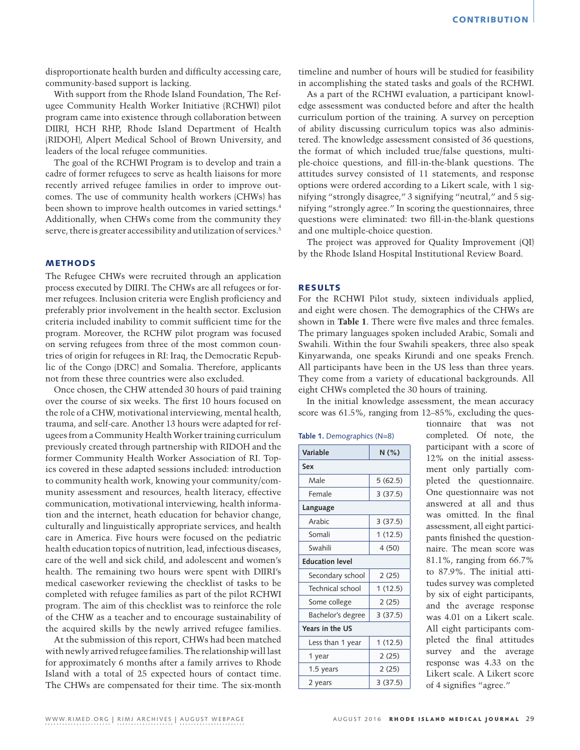disproportionate health burden and difficulty accessing care, community-based support is lacking.

With support from the Rhode Island Foundation, The Refugee Community Health Worker Initiative (RCHWI) pilot program came into existence through collaboration between DIIRI, HCH RHP, Rhode Island Department of Health (RIDOH), Alpert Medical School of Brown University, and leaders of the local refugee communities.

The goal of the RCHWI Program is to develop and train a cadre of former refugees to serve as health liaisons for more recently arrived refugee families in order to improve outcomes. The use of community health workers (CHWs) has been shown to improve health outcomes in varied settings.4 Additionally, when CHWs come from the community they serve, there is greater accessibility and utilization of services.<sup>5</sup>

## METHODS

The Refugee CHWs were recruited through an application process executed by DIIRI. The CHWs are all refugees or former refugees. Inclusion criteria were English proficiency and preferably prior involvement in the health sector. Exclusion criteria included inability to commit sufficient time for the program. Moreover, the RCHW pilot program was focused on serving refugees from three of the most common countries of origin for refugees in RI: Iraq, the Democratic Republic of the Congo (DRC) and Somalia. Therefore, applicants not from these three countries were also excluded.

Once chosen, the CHW attended 30 hours of paid training over the course of six weeks. The first 10 hours focused on the role of a CHW, motivational interviewing, mental health, trauma, and self-care. Another 13 hours were adapted for refugees from a Community Health Worker training curriculum previously created through partnership with RIDOH and the former Community Health Worker Association of RI. Topics covered in these adapted sessions included: introduction to community health work, knowing your community/community assessment and resources, health literacy, effective communication, motivational interviewing, health information and the internet, heath education for behavior change, culturally and linguistically appropriate services, and health care in America. Five hours were focused on the pediatric health education topics of nutrition, lead, infectious diseases, care of the well and sick child, and adolescent and women's health. The remaining two hours were spent with DIIRI's medical caseworker reviewing the checklist of tasks to be completed with refugee families as part of the pilot RCHWI program. The aim of this checklist was to reinforce the role of the CHW as a teacher and to encourage sustainability of the acquired skills by the newly arrived refugee families.

At the submission of this report, CHWs had been matched with newly arrived refugee families. The relationship will last for approximately 6 months after a family arrives to Rhode Island with a total of 25 expected hours of contact time. The CHWs are compensated for their time. The six-month timeline and number of hours will be studied for feasibility in accomplishing the stated tasks and goals of the RCHWI.

As a part of the RCHWI evaluation, a participant knowledge assessment was conducted before and after the health curriculum portion of the training. A survey on perception of ability discussing curriculum topics was also administered. The knowledge assessment consisted of 36 questions, the format of which included true/false questions, multiple-choice questions, and fill-in-the-blank questions. The attitudes survey consisted of 11 statements, and response options were ordered according to a Likert scale, with 1 signifying "strongly disagree," 3 signifying "neutral," and 5 signifying "strongly agree." In scoring the questionnaires, three questions were eliminated: two fill-in-the-blank questions and one multiple-choice question.

The project was approved for Quality Improvement (QI) by the Rhode Island Hospital Institutional Review Board.

#### RESULTS

For the RCHWI Pilot study, sixteen individuals applied, and eight were chosen. The demographics of the CHWs are shown in **Table 1**. There were five males and three females. The primary languages spoken included Arabic, Somali and Swahili. Within the four Swahili speakers, three also speak Kinyarwanda, one speaks Kirundi and one speaks French. All participants have been in the US less than three years. They come from a variety of educational backgrounds. All eight CHWs completed the 30 hours of training.

In the initial knowledge assessment, the mean accuracy score was 61.5%, ranging from 12–85%, excluding the ques-

|  | Table 1. Demographics (N=8) |  |
|--|-----------------------------|--|
|  |                             |  |

| Variable               | N(%)    |  |  |  |
|------------------------|---------|--|--|--|
| Sex                    |         |  |  |  |
| Male                   | 5(62.5) |  |  |  |
| Female                 | 3(37.5) |  |  |  |
| Language               |         |  |  |  |
| Arabic                 | 3(37.5) |  |  |  |
| Somali                 | 1(12.5) |  |  |  |
| Swahili                | 4(50)   |  |  |  |
| <b>Education level</b> |         |  |  |  |
| Secondary school       | 2(25)   |  |  |  |
| Technical school       | 1(12.5) |  |  |  |
| Some college           | 2(25)   |  |  |  |
| Bachelor's degree      | 3(37.5) |  |  |  |
| Years in the US        |         |  |  |  |
| Less than 1 year       | 1(12.5) |  |  |  |
| 1 year                 | 2(25)   |  |  |  |
| 1.5 years              | 2(25)   |  |  |  |
| 2 years                | 3(37.5) |  |  |  |

tionnaire that was not completed. Of note, the participant with a score of 12% on the initial assessment only partially completed the questionnaire. One questionnaire was not answered at all and thus was omitted. In the final assessment, all eight participants finished the questionnaire. The mean score was 81.1%, ranging from 66.7% to 87.9%. The initial attitudes survey was completed by six of eight participants, and the average response was 4.01 on a Likert scale. All eight participants completed the final attitudes survey and the average response was 4.33 on the Likert scale. A Likert score of 4 signifies "agree."